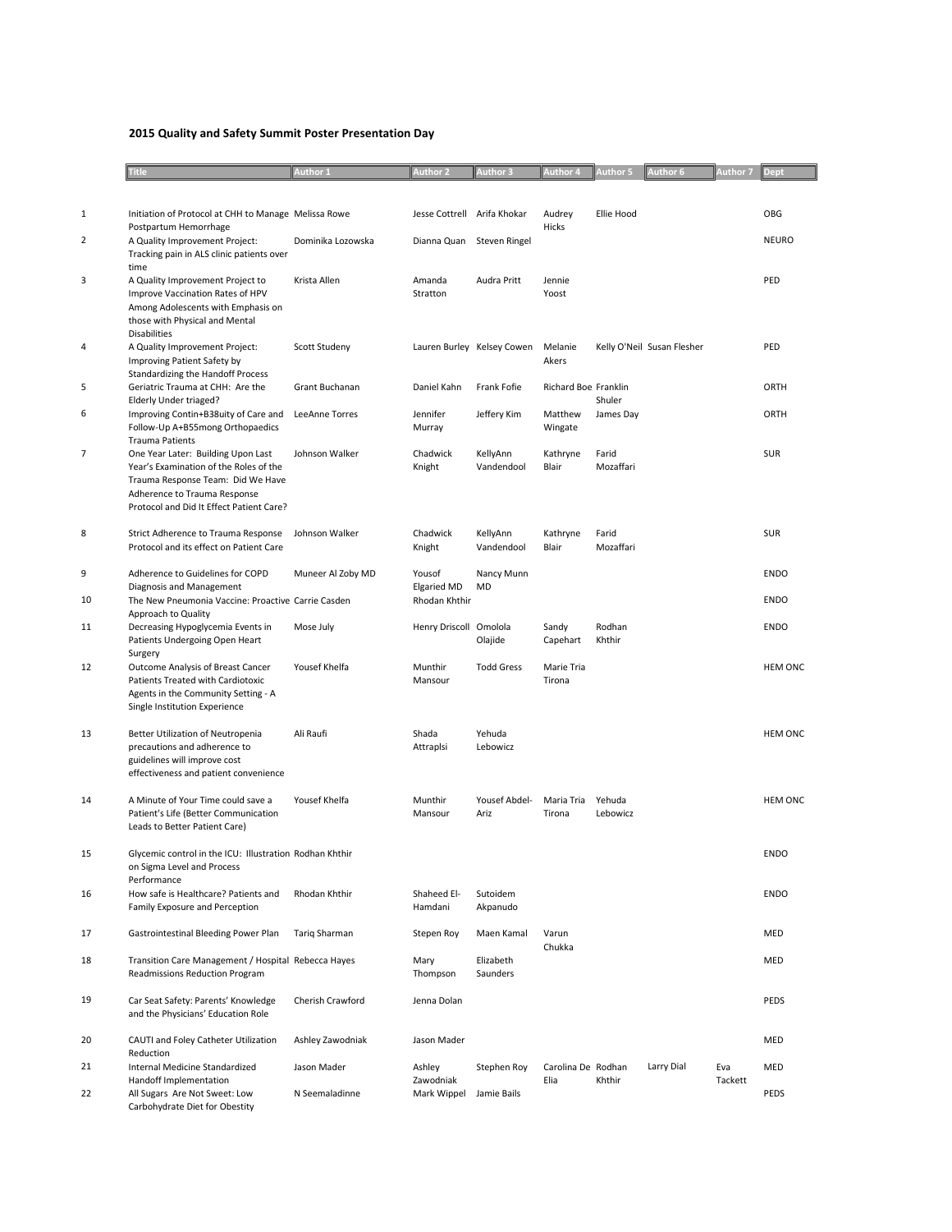## **2015 Quality and Safety Summit Poster Presentation Day**

|              | <b>Title</b>                                                                                                                                                                                  | Author 1          | <b>Author 2</b>                               | <b>Author 3</b>            | Author 4                   | <b>Author 5</b>    | <b>Author 6</b>            | Author 7       | <b>Dept</b>                |
|--------------|-----------------------------------------------------------------------------------------------------------------------------------------------------------------------------------------------|-------------------|-----------------------------------------------|----------------------------|----------------------------|--------------------|----------------------------|----------------|----------------------------|
|              |                                                                                                                                                                                               |                   |                                               |                            |                            |                    |                            |                |                            |
| $\mathbf{1}$ | Initiation of Protocol at CHH to Manage Melissa Rowe<br>Postpartum Hemorrhage                                                                                                                 |                   | Jesse Cottrell Arifa Khokar                   |                            | Audrey<br>Hicks            | Ellie Hood         |                            |                | OBG                        |
| 2            | A Quality Improvement Project:<br>Tracking pain in ALS clinic patients over<br>time                                                                                                           | Dominika Lozowska | Dianna Quan Steven Ringel                     |                            |                            |                    |                            |                | <b>NEURO</b>               |
| 3            | A Quality Improvement Project to<br>Improve Vaccination Rates of HPV<br>Among Adolescents with Emphasis on<br>those with Physical and Mental<br><b>Disabilities</b>                           | Krista Allen      | Amanda<br>Stratton                            | Audra Pritt                | Jennie<br>Yoost            |                    |                            |                | PED                        |
| 4            | A Quality Improvement Project:<br>Improving Patient Safety by<br><b>Standardizing the Handoff Process</b>                                                                                     | Scott Studeny     |                                               | Lauren Burley Kelsey Cowen | Melanie<br>Akers           |                    | Kelly O'Neil Susan Flesher |                | PED                        |
| 5            | Geriatric Trauma at CHH: Are the<br>Elderly Under triaged?                                                                                                                                    | Grant Buchanan    | Daniel Kahn                                   | Frank Fofie                | Richard Boe Franklin       | Shuler             |                            |                | ORTH                       |
| 6            | Improving Contin+B38uity of Care and<br>Follow-Up A+B55mong Orthopaedics<br><b>Trauma Patients</b>                                                                                            | LeeAnne Torres    | Jennifer<br>Murray                            | Jeffery Kim                | Matthew<br>Wingate         | James Day          |                            |                | ORTH                       |
| 7            | One Year Later: Building Upon Last<br>Year's Examination of the Roles of the<br>Trauma Response Team: Did We Have<br>Adherence to Trauma Response<br>Protocol and Did It Effect Patient Care? | Johnson Walker    | Chadwick<br>Knight                            | KellyAnn<br>Vandendool     | Kathryne<br>Blair          | Farid<br>Mozaffari |                            |                | <b>SUR</b>                 |
| 8            | Strict Adherence to Trauma Response<br>Protocol and its effect on Patient Care                                                                                                                | Johnson Walker    | Chadwick<br>Knight                            | KellyAnn<br>Vandendool     | Kathryne<br>Blair          | Farid<br>Mozaffari |                            |                | <b>SUR</b>                 |
| 9<br>10      | Adherence to Guidelines for COPD<br>Diagnosis and Management<br>The New Pneumonia Vaccine: Proactive Carrie Casden                                                                            | Muneer Al Zoby MD | Yousof<br><b>Elgaried MD</b><br>Rhodan Khthir | Nancy Munn<br>MD           |                            |                    |                            |                | <b>ENDO</b><br><b>ENDO</b> |
|              | Approach to Quality                                                                                                                                                                           |                   |                                               |                            |                            |                    |                            |                |                            |
| 11           | Decreasing Hypoglycemia Events in<br>Patients Undergoing Open Heart<br>Surgery                                                                                                                | Mose July         | Henry Driscoll Omolola                        | Olajide                    | Sandy<br>Capehart          | Rodhan<br>Khthir   |                            |                | <b>ENDO</b>                |
| 12           | Outcome Analysis of Breast Cancer<br>Patients Treated with Cardiotoxic<br>Agents in the Community Setting - A<br>Single Institution Experience                                                | Yousef Khelfa     | Munthir<br>Mansour                            | <b>Todd Gress</b>          | Marie Tria<br>Tirona       |                    |                            |                | <b>HEM ONC</b>             |
| 13           | Better Utilization of Neutropenia<br>precautions and adherence to<br>guidelines will improve cost<br>effectiveness and patient convenience                                                    | Ali Raufi         | Shada<br>Attraplsi                            | Yehuda<br>Lebowicz         |                            |                    |                            |                | <b>HEM ONC</b>             |
| 14           | A Minute of Your Time could save a<br>Patient's Life (Better Communication<br>Leads to Better Patient Care)                                                                                   | Yousef Khelfa     | Munthir<br>Mansour                            | Yousef Abdel-<br>Ariz      | Maria Tria<br>Tirona       | Yehuda<br>Lebowicz |                            |                | <b>HEM ONC</b>             |
| 15           | Glycemic control in the ICU: Illustration Rodhan Khthir<br>on Sigma Level and Process<br>Performance                                                                                          |                   |                                               |                            |                            |                    |                            |                | <b>ENDO</b>                |
| 16           | How safe is Healthcare? Patients and<br>Family Exposure and Perception                                                                                                                        | Rhodan Khthir     | Shaheed El-<br>Hamdani                        | Sutoidem<br>Akpanudo       |                            |                    |                            |                | <b>ENDO</b>                |
| 17           | Gastrointestinal Bleeding Power Plan                                                                                                                                                          | Tariq Sharman     | Stepen Roy                                    | Maen Kamal                 | Varun<br>Chukka            |                    |                            |                | <b>MED</b>                 |
| 18           | Transition Care Management / Hospital Rebecca Hayes<br>Readmissions Reduction Program                                                                                                         |                   | Mary<br>Thompson                              | Elizabeth<br>Saunders      |                            |                    |                            |                | MED                        |
| 19           | Car Seat Safety: Parents' Knowledge<br>and the Physicians' Education Role                                                                                                                     | Cherish Crawford  | Jenna Dolan                                   |                            |                            |                    |                            |                | <b>PEDS</b>                |
| 20           | CAUTI and Foley Catheter Utilization<br>Reduction                                                                                                                                             | Ashley Zawodniak  | Jason Mader                                   |                            |                            |                    |                            |                | MED                        |
| 21           | Internal Medicine Standardized<br>Handoff Implementation                                                                                                                                      | Jason Mader       | Ashley<br>Zawodniak                           | Stephen Roy                | Carolina De Rodhan<br>Elia | Khthir             | Larry Dial                 | Eva<br>Tackett | MED                        |
| 22           | All Sugars Are Not Sweet: Low<br>Carbohydrate Diet for Obestity                                                                                                                               | N Seemaladinne    | Mark Wippel                                   | Jamie Bails                |                            |                    |                            |                | PEDS                       |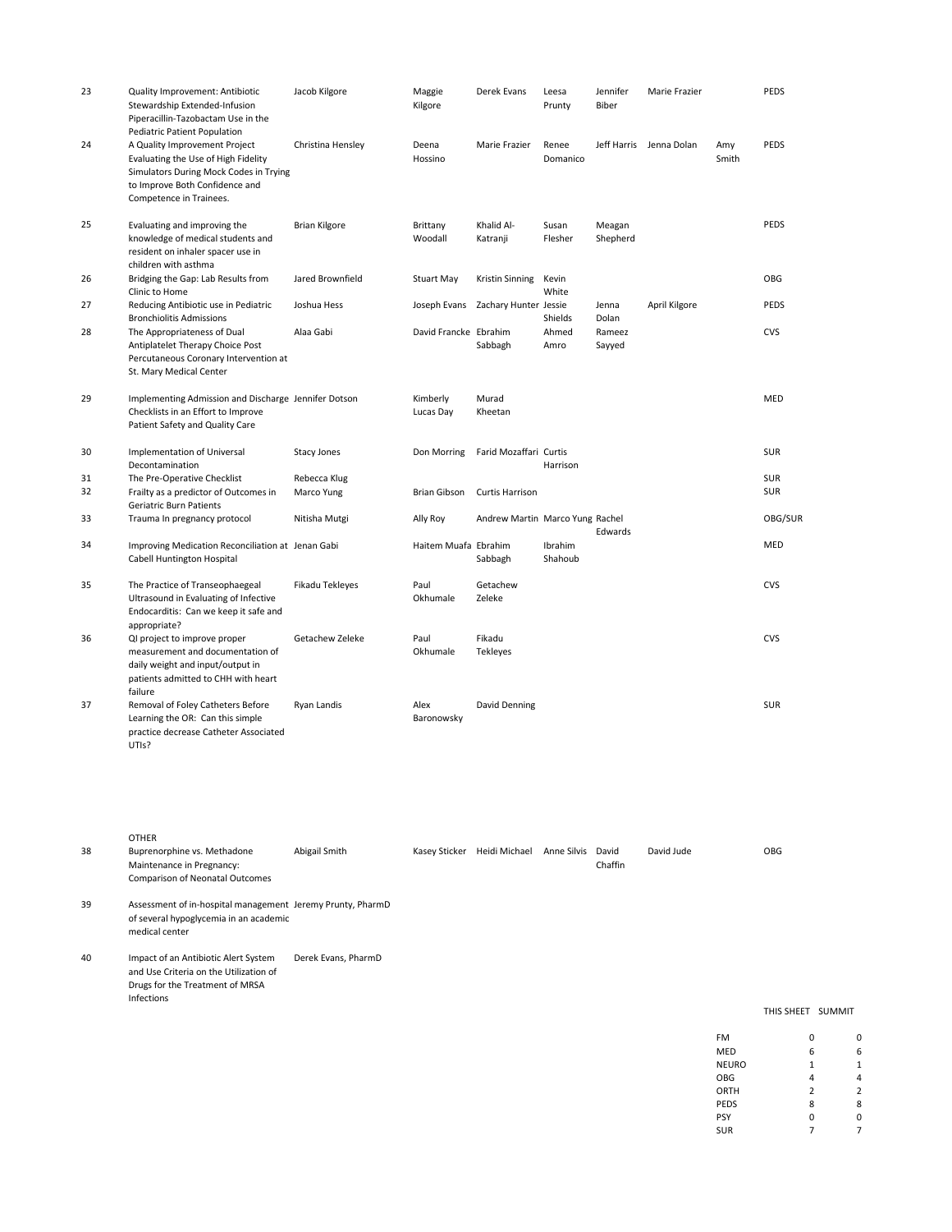| 23 | Quality Improvement: Antibiotic<br>Stewardship Extended-Infusion<br>Piperacillin-Tazobactam Use in the<br>Pediatric Patient Population                                      | Jacob Kilgore      | Maggie<br>Kilgore     | Derek Evans                     | Leesa<br>Prunty    | Jennifer<br>Biber  | Marie Frazier |              | PEDS        |
|----|-----------------------------------------------------------------------------------------------------------------------------------------------------------------------------|--------------------|-----------------------|---------------------------------|--------------------|--------------------|---------------|--------------|-------------|
| 24 | A Quality Improvement Project<br>Evaluating the Use of High Fidelity<br>Simulators During Mock Codes in Trying<br>to Improve Both Confidence and<br>Competence in Trainees. | Christina Hensley  | Deena<br>Hossino      | Marie Frazier                   | Renee<br>Domanico  | Jeff Harris        | Jenna Dolan   | Amy<br>Smith | <b>PEDS</b> |
| 25 | Evaluating and improving the<br>knowledge of medical students and<br>resident on inhaler spacer use in<br>children with asthma                                              | Brian Kilgore      | Brittany<br>Woodall   | Khalid Al-<br>Katranji          | Susan<br>Flesher   | Meagan<br>Shepherd |               |              | PEDS        |
| 26 | Bridging the Gap: Lab Results from<br>Clinic to Home                                                                                                                        | Jared Brownfield   | Stuart May            | Kristin Sinning                 | Kevin<br>White     |                    |               |              | OBG         |
| 27 | Reducing Antibiotic use in Pediatric<br><b>Bronchiolitis Admissions</b>                                                                                                     | Joshua Hess        | Joseph Evans          | Zachary Hunter Jessie           | Shields            | Jenna<br>Dolan     | April Kilgore |              | <b>PEDS</b> |
| 28 | The Appropriateness of Dual<br>Antiplatelet Therapy Choice Post<br>Percutaneous Coronary Intervention at<br>St. Mary Medical Center                                         | Alaa Gabi          | David Francke Ebrahim | Sabbagh                         | Ahmed<br>Amro      | Rameez<br>Sayyed   |               |              | <b>CVS</b>  |
| 29 | Implementing Admission and Discharge Jennifer Dotson<br>Checklists in an Effort to Improve<br>Patient Safety and Quality Care                                               |                    | Kimberly<br>Lucas Day | Murad<br>Kheetan                |                    |                    |               |              | MED         |
| 30 | Implementation of Universal<br>Decontamination                                                                                                                              | <b>Stacy Jones</b> | Don Morring           | Farid Mozaffari Curtis          | Harrison           |                    |               |              | <b>SUR</b>  |
| 31 | The Pre-Operative Checklist                                                                                                                                                 | Rebecca Klug       |                       |                                 |                    |                    |               |              | <b>SUR</b>  |
| 32 | Frailty as a predictor of Outcomes in<br>Geriatric Burn Patients                                                                                                            | Marco Yung         | Brian Gibson          | <b>Curtis Harrison</b>          |                    |                    |               |              | <b>SUR</b>  |
| 33 | Trauma In pregnancy protocol                                                                                                                                                | Nitisha Mutgi      | Ally Roy              | Andrew Martin Marco Yung Rachel |                    | Edwards            |               |              | OBG/SUR     |
| 34 | Improving Medication Reconciliation at Jenan Gabi<br>Cabell Huntington Hospital                                                                                             |                    | Haitem Muafa Ebrahim  | Sabbagh                         | Ibrahim<br>Shahoub |                    |               |              | <b>MED</b>  |
| 35 | The Practice of Transeophaegeal<br>Ultrasound in Evaluating of Infective<br>Endocarditis: Can we keep it safe and<br>appropriate?                                           | Fikadu Tekleyes    | Paul<br>Okhumale      | Getachew<br>Zeleke              |                    |                    |               |              | <b>CVS</b>  |
| 36 | QI project to improve proper<br>measurement and documentation of<br>daily weight and input/output in<br>patients admitted to CHH with heart<br>failure                      | Getachew Zeleke    | Paul<br>Okhumale      | Fikadu<br>Tekleyes              |                    |                    |               |              | <b>CVS</b>  |
| 37 | Removal of Foley Catheters Before<br>Learning the OR: Can this simple<br>practice decrease Catheter Associated<br>UTIs?                                                     | Ryan Landis        | Alex<br>Baronowsky    | David Denning                   |                    |                    |               |              | <b>SUR</b>  |

|    | <b>OTHER</b>                                                                                                                    |                     |               |               |             |                  |            |              |            |               |   |
|----|---------------------------------------------------------------------------------------------------------------------------------|---------------------|---------------|---------------|-------------|------------------|------------|--------------|------------|---------------|---|
| 38 | Buprenorphine vs. Methadone<br>Maintenance in Pregnancy:<br><b>Comparison of Neonatal Outcomes</b>                              | Abigail Smith       | Kasey Sticker | Heidi Michael | Anne Silvis | David<br>Chaffin | David Jude |              | <b>OBG</b> |               |   |
| 39 | Assessment of in-hospital management Jeremy Prunty, PharmD<br>of several hypoglycemia in an academic<br>medical center          |                     |               |               |             |                  |            |              |            |               |   |
| 40 | Impact of an Antibiotic Alert System<br>and Use Criteria on the Utilization of<br>Drugs for the Treatment of MRSA<br>Infections | Derek Evans, PharmD |               |               |             |                  |            |              | THIS SHEET | <b>SUMMIT</b> |   |
|    |                                                                                                                                 |                     |               |               |             |                  |            | <b>FM</b>    | 0          |               | 0 |
|    |                                                                                                                                 |                     |               |               |             |                  |            | <b>MED</b>   | 6          |               | 6 |
|    |                                                                                                                                 |                     |               |               |             |                  |            | <b>NEURO</b> |            |               |   |

NEURO 1 1 OBG 4 4 4 ORTH 2 2 PEDS 8 8 PSY 0 0

SUR 7 7